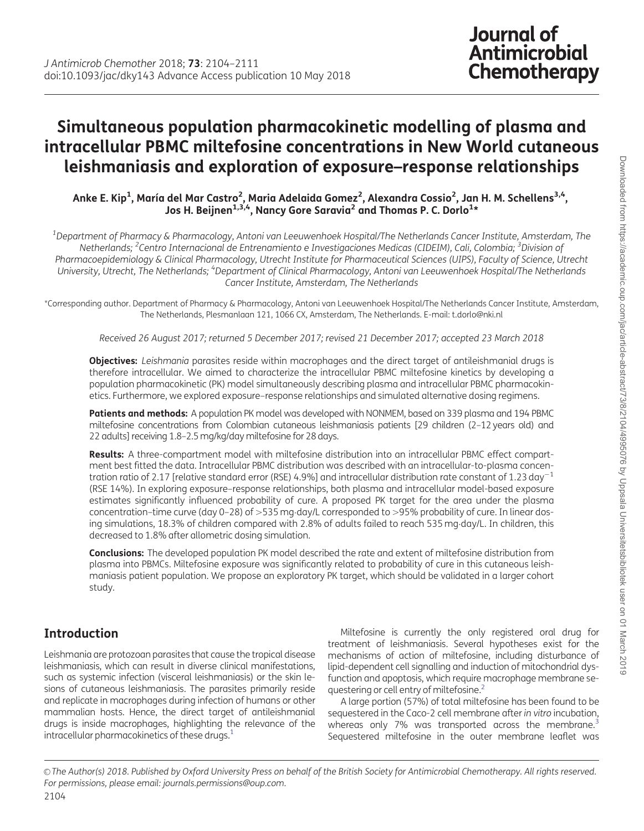# <span id="page-0-0"></span>Simultaneous population pharmacokinetic modelling of plasma and intracellular PBMC miltefosine concentrations in New World cutaneous leishmaniasis and exploration of exposure–response relationships

Anke E. Kip<sup>1</sup>, María del Mar Castro<sup>2</sup>, Maria Adelaida Gomez<sup>2</sup>, Alexandra Cossio<sup>2</sup>, Jan H. M. Schellens<sup>3,4</sup>, Jos H. Beijnen $^{1,3,4}$ , Nancy Gore Saravia $^2$  and Thomas P. C. Dorlo $^{1\star}$ 

 $^{\rm 1}$ Department of Pharmacy & Pharmacology, Antoni van Leeuwenhoek Hospital/The Netherlands Cancer Institute, Amsterdam, The Netherlands; <sup>2</sup>Centro Internacional de Entrenamiento e Investigaciones Medicas (CIDEIM), Cali, Colombia; <sup>3</sup>Division of Pharmacoepidemiology & Clinical Pharmacology, Utrecht Institute for Pharmaceutical Sciences (UIPS), Faculty of Science, Utrecht University, Utrecht, The Netherlands; <sup>4</sup>Department of Clinical Pharmacology, Antoni van Leeuwenhoek Hospital/The Netherlands Cancer Institute, Amsterdam, The Netherlands

\*Corresponding author. Department of Pharmacy & Pharmacology, Antoni van Leeuwenhoek Hospital/The Netherlands Cancer Institute, Amsterdam, The Netherlands, Plesmanlaan 121, 1066 CX, Amsterdam, The Netherlands. E-mail: t.dorlo@nki.nl

Received 26 August 2017; returned 5 December 2017; revised 21 December 2017; accepted 23 March 2018

Objectives: Leishmania parasites reside within macrophages and the direct target of antileishmanial drugs is therefore intracellular. We aimed to characterize the intracellular PBMC miltefosine kinetics by developing a population pharmacokinetic (PK) model simultaneously describing plasma and intracellular PBMC pharmacokinetics. Furthermore, we explored exposure–response relationships and simulated alternative dosing regimens.

Patients and methods: A population PK model was developed with NONMEM, based on 339 plasma and 194 PBMC miltefosine concentrations from Colombian cutaneous leishmaniasis patients [29 children (2–12 years old) and 22 adults] receiving 1.8–2.5 mg/kg/day miltefosine for 28 days.

Results: A three-compartment model with miltefosine distribution into an intracellular PBMC effect compartment best fitted the data. Intracellular PBMC distribution was described with an intracellular-to-plasma concentration ratio of 2.17 [relative standard error (RSE) 4.9%] and intracellular distribution rate constant of 1.23 day<sup>-1</sup> (RSE 14%). In exploring exposure–response relationships, both plasma and intracellular model-based exposure estimates significantly influenced probability of cure. A proposed PK target for the area under the plasma concentration-time curve (day 0–28) of >535 mg·day/L corresponded to >95% probability of cure. In linear dosing simulations, 18.3% of children compared with 2.8% of adults failed to reach 535 mg-day/L. In children, this decreased to 1.8% after allometric dosing simulation.

Conclusions: The developed population PK model described the rate and extent of miltefosine distribution from plasma into PBMCs. Miltefosine exposure was significantly related to probability of cure in this cutaneous leishmaniasis patient population. We propose an exploratory PK target, which should be validated in a larger cohort study.

# Introduction

Leishmania are protozoan parasites that cause the tropical disease leishmaniasis, which can result in diverse clinical manifestations, such as systemic infection (visceral leishmaniasis) or the skin lesions of cutaneous leishmaniasis. The parasites primarily reside and replicate in macrophages during infection of humans or other mammalian hosts. Hence, the direct target of antileishmanial drugs is inside macrophages, highlighting the relevance of the intracellular pharmacokinetics of these drugs. $1$ 

Miltefosine is currently the only registered oral drug for treatment of leishmaniasis. Several hypotheses exist for the mechanisms of action of miltefosine, including disturbance of lipid-dependent cell signalling and induction of mitochondrial dysfunction and apoptosis, which require macrophage membrane se-questering or cell entry of miltefosine.<sup>[2](#page-7-0)</sup>

A large portion (57%) of total miltefosine has been found to be sequestered in the Caco-2 cell membrane after in vitro incubation, whereas only 7% was transported across the membrane.<sup>3</sup> Sequestered miltefosine in the outer membrane leaflet was

V<sup>C</sup> The Author(s) 2018. Published by Oxford University Press on behalf of the British Society for Antimicrobial Chemotherapy. All rights reserved. For permissions, please email: journals.permissions@oup.com.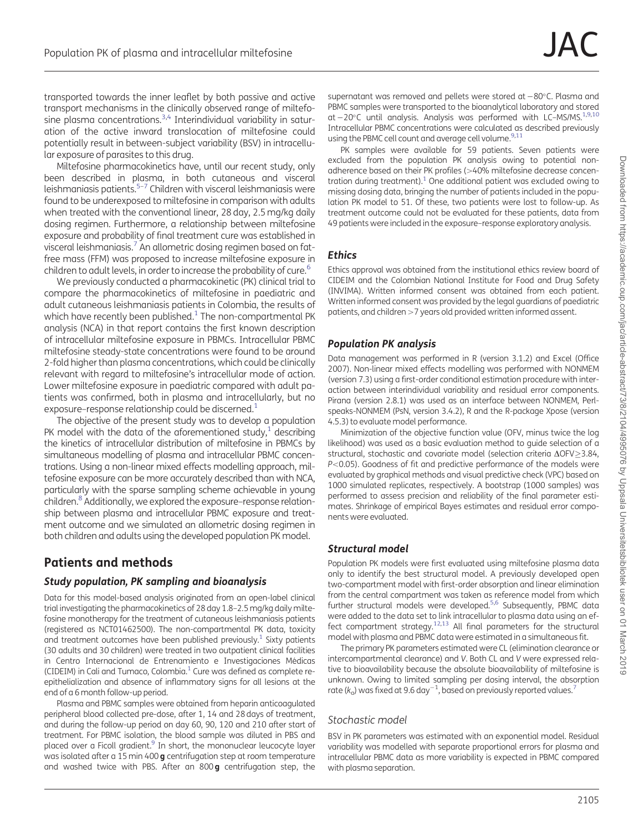<span id="page-1-0"></span>transported towards the inner leaflet by both passive and active transport mechanisms in the clinically observed range of miltefo-sine plasma concentrations.<sup>[3,4](#page-7-0)</sup> Interindividual variability in saturation of the active inward translocation of miltefosine could potentially result in between-subject variability (BSV) in intracellular exposure of parasites to this drug.

Miltefosine pharmacokinetics have, until our recent study, only been described in plasma, in both cutaneous and visceral leishmaniasis patients.[5–7](#page-7-0) Children with visceral leishmaniasis were found to be underexposed to miltefosine in comparison with adults when treated with the conventional linear, 28 day, 2.5 mg/kg daily dosing regimen. Furthermore, a relationship between miltefosine exposure and probability of final treatment cure was established in visceral leishmaniasis.<sup>7</sup> An allometric dosing regimen based on fatfree mass (FFM) was proposed to increase miltefosine exposure in children to adult levels, in order to increase the probability of cure.<sup>[6](#page-7-0)</sup>

We previously conducted a pharmacokinetic (PK) clinical trial to compare the pharmacokinetics of miltefosine in paediatric and adult cutaneous leishmaniasis patients in Colombia, the results of which have recently been published.<sup>[1](#page-7-0)</sup> The non-compartmental PK analysis (NCA) in that report contains the first known description of intracellular miltefosine exposure in PBMCs. Intracellular PBMC miltefosine steady-state concentrations were found to be around 2-fold higher than plasma concentrations, which could be clinically relevant with regard to miltefosine's intracellular mode of action. Lower miltefosine exposure in paediatric compared with adult patients was confirmed, both in plasma and intracellularly, but no exposure–response relationship could be discerned.<sup>[1](#page-7-0)</sup>

The objective of the present study was to develop a population PK model with the data of the aforementioned study, $1$  describing the kinetics of intracellular distribution of miltefosine in PBMCs by simultaneous modelling of plasma and intracellular PBMC concentrations. Using a non-linear mixed effects modelling approach, miltefosine exposure can be more accurately described than with NCA, particularly with the sparse sampling scheme achievable in young children.<sup>[8](#page-7-0)</sup> Additionally, we explored the exposure–response relationship between plasma and intracellular PBMC exposure and treatment outcome and we simulated an allometric dosing regimen in both children and adults using the developed population PK model.

# Patients and methods

#### Study population, PK sampling and bioanalysis

Data for this model-based analysis originated from an open-label clinical trial investigating the pharmacokinetics of 28 day 1.8–2.5 mg/kg daily miltefosine monotherapy for the treatment of cutaneous leishmaniasis patients (registered as NCT01462500). The non-compartmental PK data, toxicity and treatment outcomes have been published previously.<sup>[1](#page-7-0)</sup> Sixty patients (30 adults and 30 children) were treated in two outpatient clinical facilities in Centro Internacional de Entrenamiento e Investigaciones Médicas (CIDEIM) in Cali and Tumaco, Colombia.<sup>1</sup> Cure was defined as complete reepithelialization and absence of inflammatory signs for all lesions at the end of a 6 month follow-up period.

Plasma and PBMC samples were obtained from heparin anticoagulated peripheral blood collected pre-dose, after 1, 14 and 28 days of treatment, and during the follow-up period on day 60, 90, 120 and 210 after start of treatment. For PBMC isolation, the blood sample was diluted in PBS and placed over a Ficoll gradient.<sup>9</sup> In short, the mononuclear leucocyte layer was isolated after a 15 min 400 g centrifugation step at room temperature and washed twice with PBS. After an  $800\,\text{g}$  centrifugation step, the

supernatant was removed and pellets were stored at  $-80^{\circ}$ C. Plasma and PBMC samples were transported to the bioanalytical laboratory and stored at -20°C until analysis. Analysis was performed with LC-MS/MS.<sup>[1](#page-7-0),[9,10](#page-7-0)</sup> Intracellular PBMC concentrations were calculated as described previously using the PBMC cell count and average cell volume.<sup>9,[11](#page-7-0)</sup>

PK samples were available for 59 patients. Seven patients were excluded from the population PK analysis owing to potential nonadherence based on their PK profiles (>40% miltefosine decrease concentration during treatment). $1$  One additional patient was excluded owing to missing dosing data, bringing the number of patients included in the population PK model to 51. Of these, two patients were lost to follow-up. As treatment outcome could not be evaluated for these patients, data from 49 patients were included in the exposure–response exploratory analysis.

#### **Ethics**

Ethics approval was obtained from the institutional ethics review board of CIDEIM and the Colombian National Institute for Food and Drug Safety (INVIMA). Written informed consent was obtained from each patient. Written informed consent was provided by the legal guardians of paediatric patients, and children >7 years old provided written informed assent.

### Population PK analysis

Data management was performed in R (version 3.1.2) and Excel (Office 2007). Non-linear mixed effects modelling was performed with NONMEM (version 7.3) using a first-order conditional estimation procedure with interaction between interindividual variability and residual error components. Pirana (version 2.8.1) was used as an interface between NONMEM, Perlspeaks-NONMEM (PsN, version 3.4.2), R and the R-package Xpose (version 4.5.3) to evaluate model performance.

Minimization of the objective function value (OFV, minus twice the log likelihood) was used as a basic evaluation method to guide selection of a structural, stochastic and covariate model (selection criteria  $\Delta$ OFV $\geq$ 3.84,  $P<$  0.05). Goodness of fit and predictive performance of the models were evaluated by graphical methods and visual predictive check (VPC) based on 1000 simulated replicates, respectively. A bootstrap (1000 samples) was performed to assess precision and reliability of the final parameter estimates. Shrinkage of empirical Bayes estimates and residual error components were evaluated.

#### Structural model

Population PK models were first evaluated using miltefosine plasma data only to identify the best structural model. A previously developed open two-compartment model with first-order absorption and linear elimination from the central compartment was taken as reference model from which further structural models were developed.<sup>5,6</sup> Subsequently, PBMC data were added to the data set to link intracellular to plasma data using an effect compartment strategy.<sup>12,13</sup> All final parameters for the structural model with plasma and PBMC data were estimated in a simultaneous fit.

The primary PK parameters estimated were CL (elimination clearance or intercompartmental clearance) and V. Both CL and V were expressed relative to bioavailability because the absolute bioavailability of miltefosine is unknown. Owing to limited sampling per dosing interval, the absorption rate ( $k_a$ ) was fixed at 9.6 day<sup>-1</sup>, based on previously reported values.<sup>7</sup>

### Stochastic model

BSV in PK parameters was estimated with an exponential model. Residual variability was modelled with separate proportional errors for plasma and intracellular PBMC data as more variability is expected in PBMC compared with plasma separation.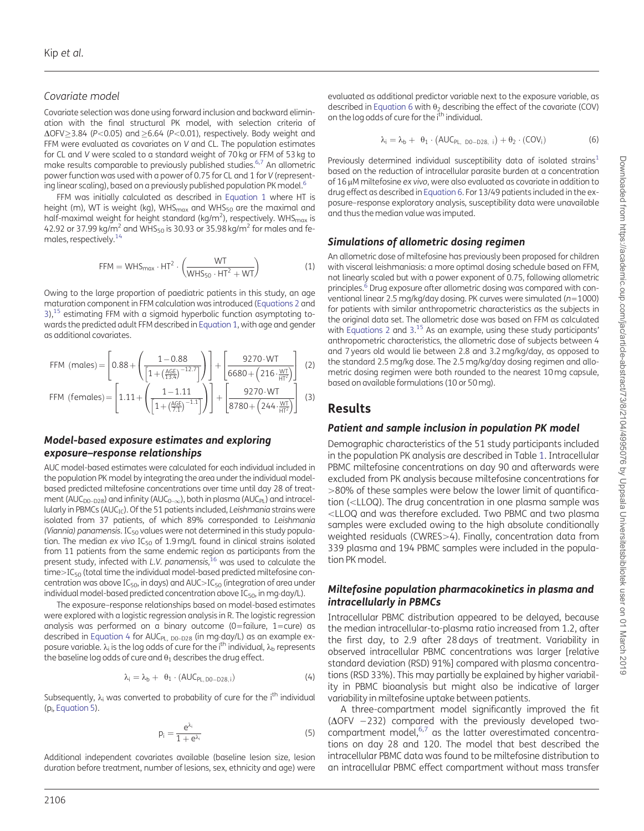### <span id="page-2-0"></span>Covariate model

Covariate selection was done using forward inclusion and backward elimination with the final structural PK model, with selection criteria of  $\Delta$ OFV > 3.84 (P<0.05) and  $\geq$  6.64 (P<0.01), respectively. Body weight and FFM were evaluated as covariates on V and CL. The population estimates for CL and V were scaled to a standard weight of 70 kg or FFM of 53 kg to make results comparable to previously published studies.[6,7](#page-7-0) An allometric power function was used with a power of 0.75 for CL and 1 for V (representing linear scaling), based on a previously published population PK model.<sup>6</sup>

FFM was initially calculated as described in Equation 1 where HT is height (m), WT is weight (kg), WHS $_{max}$  and WHS<sub>50</sub> are the maximal and half-maximal weight for height standard (kg/m<sup>2</sup>), respectively. WHS $_{\sf max}$  is 42.92 or 37.99 kg/m<sup>2</sup> and WHS<sub>50</sub> is 30.93 or 35.98 kg/m<sup>2</sup> for males and females, respectively.<sup>14</sup>

$$
FFM = WHS_{max} \cdot HT^2 \cdot \left(\frac{WT}{WHS_{50} \cdot HT^2 + WT}\right) \tag{1}
$$

Owing to the large proportion of paediatric patients in this study, an age maturation component in FFM calculation was introduced (Equations 2 and  $3$ ),<sup>[15](#page-7-0)</sup> estimating FFM with a sigmoid hyperbolic function asymptoting towards the predicted adult FFM described in Equation 1, with age and gender as additional covariates.

FFM (males) = 
$$
\left[0.88 + \left(\frac{1 - 0.88}{\left[1 + \left(\frac{AGE}{13.4}\right)^{-12.7}\right]}\right)\right] + \left[\frac{9270 \cdot WT}{6680 + \left(216 \cdot \frac{WT}{HT^{2}}\right)}\right] \tag{2}
$$
FFM (females) = 
$$
\left[1.11 + \left(\frac{1 - 1.11}{\left[1 + \left(\frac{AGE}{7.1}\right)^{-1.1}\right]}\right) + \left[\frac{9270 \cdot WT}{8780 + \left(244 \cdot \frac{WT}{HT^{2}}\right)}\right] \tag{3}
$$

#### Model-based exposure estimates and exploring exposure–response relationships

AUC model-based estimates were calculated for each individual included in the population PK model by integrating the area under the individual modelbased predicted miltefosine concentrations over time until day 28 of treatment (AUC<sub>D0–D28</sub>) and infinity (AUC<sub>0– $\infty$ </sub>), both in plasma (AUC<sub>PL</sub>) and intracellularly in PBMCs ( $AUC_{IC}$ ). Of the 51 patients included, Leishmania strains were isolated from 37 patients, of which 89% corresponded to Leishmania (Viannia) panamensis.  $IC_{50}$  values were not determined in this study population. The median ex vivo  $IC_{50}$  of 1.9 mg/L found in clinical strains isolated from 11 patients from the same endemic region as participants from the present study, infected with L.V. panamensis,<sup>[16](#page-7-0)</sup> was used to calculate the  $time > IC_{50}$  (total time the individual model-based predicted miltefosine concentration was above  $IC_{50}$ , in days) and  $AUC > IC_{50}$  (integration of area under individual model-based predicted concentration above IC $_{50}$ , in mg·day/L).

The exposure–response relationships based on model-based estimates were explored with a logistic regression analysis in R. The logistic regression analysis was performed on a binary outcome (0=failure,  $1 = \text{cure}$ ) as described in Equation 4 for AUC<sub>PL, D0–D28</sub> (in mg·day/L) as an example exposure variable.  $\lambda_i$  is the log odds of cure for the i<sup>th</sup> individual,  $\lambda_b$  represents the baseline log odds of cure and  $\theta_1$  describes the drug effect.

$$
\lambda_i = \lambda_b + \ \theta_1 \cdot (AUC_{PL, D0-D28, i}) \qquad \qquad (4)
$$

Subsequently,  $\lambda_i$  was converted to probability of cure for the i<sup>th</sup> individual ( $p_i$ , Equation 5).

$$
p_i = \frac{e^{\lambda_i}}{1 + e^{\lambda_i}}\tag{5}
$$

Additional independent covariates available (baseline lesion size, lesion duration before treatment, number of lesions, sex, ethnicity and age) were

evaluated as additional predictor variable next to the exposure variable, as described in Equation 6 with  $\theta_2$  describing the effect of the covariate (COV) on the log odds of cure for the i<sup>th</sup> individual.

$$
\lambda_i = \lambda_b + \theta_1 \cdot (AUC_{PL, DO-D28, i}) + \theta_2 \cdot (COV_i)
$$
 (6)

Previously determined individual susceptibility data of isolated strains<sup>[1](#page-7-0)</sup> based on the reduction of intracellular parasite burden at a concentration of  $16 \mu$ M miltefosine ex vivo, were also evaluated as covariate in addition to drug effect as described in Equation 6. For 13/49 patients included in the exposure–response exploratory analysis, susceptibility data were unavailable and thus the median value was imputed.

### Simulations of allometric dosing regimen

An allometric dose of miltefosine has previously been proposed for children with visceral leishmaniasis: a more optimal dosing schedule based on FFM, not linearly scaled but with a power exponent of 0.75, following allometric principles.<sup>6</sup> Drug exposure after allometric dosing was compared with conventional linear 2.5 mg/kg/day dosing. PK curves were simulated ( $n=1000$ ) for patients with similar anthropometric characteristics as the subjects in the original data set. The allometric dose was based on FFM as calculated with Equations 2 and 3.<sup>[15](#page-7-0)</sup> As an example, using these study participants' anthropometric characteristics, the allometric dose of subjects between 4 and 7 years old would lie between 2.8 and 3.2 mg/kg/day, as opposed to the standard 2.5 mg/kg dose. The 2.5 mg/kg/day dosing regimen and allometric dosing regimen were both rounded to the nearest 10 mg capsule, based on available formulations (10 or 50 mg).

### Results

#### Patient and sample inclusion in population PK model

Demographic characteristics of the 51 study participants included in the population PK analysis are described in Table [1.](#page-3-0) Intracellular PBMC miltefosine concentrations on day 90 and afterwards were excluded from PK analysis because miltefosine concentrations for  $>$ 80% of these samples were below the lower limit of quantification (<LLOQ). The drug concentration in one plasma sample was <LLOQ and was therefore excluded. Two PBMC and two plasma samples were excluded owing to the high absolute conditionally weighted residuals (CWRES>4). Finally, concentration data from 339 plasma and 194 PBMC samples were included in the population PK model.

#### Miltefosine population pharmacokinetics in plasma and intracellularly in PBMCs

Intracellular PBMC distribution appeared to be delayed, because the median intracellular-to-plasma ratio increased from 1.2, after the first day, to 2.9 after 28 days of treatment. Variability in observed intracellular PBMC concentrations was larger [relative standard deviation (RSD) 91%] compared with plasma concentrations (RSD 33%). This may partially be explained by higher variability in PBMC bioanalysis but might also be indicative of larger variability in miltefosine uptake between patients.

A three-compartment model significantly improved the fit  $(\Delta$ OFV  $-232)$  compared with the previously developed twocompartment model, $6,7$  as the latter overestimated concentrations on day 28 and 120. The model that best described the intracellular PBMC data was found to be miltefosine distribution to an intracellular PBMC effect compartment without mass transfer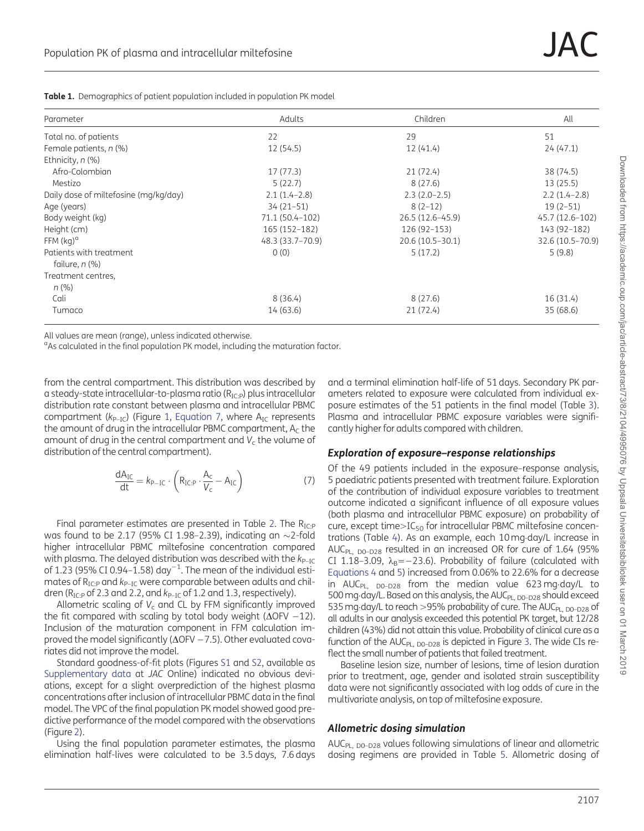| Parameter                             | Adults           | Children            | All              |
|---------------------------------------|------------------|---------------------|------------------|
| Total no. of patients                 | 22               | 29                  | 51               |
| Female patients, $n$ (%)              | 12(54.5)         | 12(41.4)            | 24(47.1)         |
| Ethnicity, $n$ (%)                    |                  |                     |                  |
| Afro-Colombian                        | 17(77.3)         | 21 (72.4)           | 38 (74.5)        |
| Mestizo                               | 5(22.7)          | 8(27.6)             | 13(25.5)         |
| Daily dose of miltefosine (mg/kg/day) | $2.1(1.4-2.8)$   | $2.3(2.0-2.5)$      | $2.2(1.4-2.8)$   |
| Age (years)                           | $34(21-51)$      | $8(2-12)$           | $19(2-51)$       |
| Body weight (kg)                      | 71.1 (50.4-102)  | 26.5 (12.6–45.9)    | 45.7 (12.6-102)  |
| Height (cm)                           | 165 (152-182)    | 126 (92-153)        | 143 (92-182)     |
| $FFM (kq)^d$                          | 48.3 (33.7-70.9) | $20.6(10.5 - 30.1)$ | 32.6 (10.5-70.9) |
| Patients with treatment               | 0(0)             | 5(17.2)             | 5(9.8)           |
| failure, n (%)                        |                  |                     |                  |
| Treatment centres,                    |                  |                     |                  |
| $n (\%)$                              |                  |                     |                  |
| Cali                                  | 8(36.4)          | 8(27.6)             | 16 (31.4)        |
| Tumaco                                | 14 (63.6)        | 21(72.4)            | 35(68.6)         |
|                                       |                  |                     |                  |

<span id="page-3-0"></span>Table 1. Demographics of patient population included in population PK model

All values are mean (range), unless indicated otherwise.

<sup>a</sup>As calculated in the final population PK model, including the maturation factor.

from the central compartment. This distribution was described by a steady-state intracellular-to-plasma ratio  $(R_{ICP})$  plus intracellular distribution rate constant between plasma and intracellular PBMC compartment ( $k_{P-IC}$ ) (Figure [1](#page-4-0), Equation 7, where  $A_{IC}$  represents the amount of drug in the intracellular PBMC compartment,  $A<sub>C</sub>$  the amount of drug in the central compartment and  $V_c$  the volume of distribution of the central compartment).

$$
\frac{dA_{IC}}{dt} = k_{P-IC} \cdot \left( R_{IC:P} \cdot \frac{A_c}{V_c} - A_{IC} \right) \tag{7}
$$

Final parameter estimates are presented in Table [2](#page-4-0). The  $R_{\text{IC-P}}$ was found to be 2.17 (95% CI 1.98-2.39), indicating an  $\sim$ 2-fold higher intracellular PBMC miltefosine concentration compared with plasma. The delayed distribution was described with the  $k_{P-IC}$ of  $1.23$  (95% CI 0.94-1.58) day<sup>-1</sup>. The mean of the individual estimates of  $R_{IC:P}$  and  $k_{P-IC}$  were comparable between adults and children ( $R_{IC:P}$  of 2.3 and 2.2, and  $k_{P-IC}$  of 1.2 and 1.3, respectively).

Allometric scaling of  $V_c$  and CL by FFM significantly improved the fit compared with scaling by total body weight ( $\Delta$ OFV  $-12$ ). Inclusion of the maturation component in FFM calculation improved the model significantly ( $\Delta$ OFV  $-7.5$ ). Other evaluated covariates did not improve the model.

Standard goodness-of-fit plots (Figures [S1](https://academic.oup.com/jac/article-lookup/doi/10.1093/jac/dky143#supplementary-data) and [S2](https://academic.oup.com/jac/article-lookup/doi/10.1093/jac/dky143#supplementary-data), available as [Supplementary data](https://academic.oup.com/jac/article-lookup/doi/10.1093/jac/dky143#supplementary-data) at JAC Online) indicated no obvious deviations, except for a slight overprediction of the highest plasma concentrations after inclusion of intracellular PBMC data in the final model. The VPC of the final population PK model showed good predictive performance of the model compared with the observations (Figure [2\)](#page-5-0).

Using the final population parameter estimates, the plasma elimination half-lives were calculated to be 3.5 days, 7.6 days

and a terminal elimination half-life of 51 days. Secondary PK parameters related to exposure were calculated from individual exposure estimates of the 51 patients in the final model (Table [3\)](#page-5-0). Plasma and intracellular PBMC exposure variables were significantly higher for adults compared with children.

#### Exploration of exposure–response relationships

Of the 49 patients included in the exposure–response analysis, 5 paediatric patients presented with treatment failure. Exploration of the contribution of individual exposure variables to treatment outcome indicated a significant influence of all exposure values (both plasma and intracellular PBMC exposure) on probability of cure, except time $> IC_{50}$  for intracellular PBMC miltefosine concentrations (Table [4](#page-6-0)). As an example, each 10 mg-day/L increase in AUC<sub>PL, D0-D28</sub> resulted in an increased OR for cure of 1.64 (95% CI 1.18-3.09,  $\lambda_B = -23.6$ ). Probability of failure (calculated with [Equations 4](#page-2-0) and [5\)](#page-2-0) increased from 0.06% to 22.6% for a decrease in AUC<sub>PL, D0–D28</sub> from the median value 623 mg·day/L to 500 mg·day/L. Based on this analysis, the AUC<sub>PL, D0-D28</sub> should exceed 535 mg $\cdot$ day/L to reach  $>$ 95% probability of cure. The AUC $_{\rm PL, \, DO-D28}$  of all adults in our analysis exceeded this potential PK target, but 12/28 children (43%) did not attain this value. Probability of clinical cure as a function of the AUC $_{PL, DO-D28}$  is depicted in Figure [3.](#page-6-0) The wide CIs reflect the small number of patients that failed treatment.

Baseline lesion size, number of lesions, time of lesion duration prior to treatment, age, gender and isolated strain susceptibility data were not significantly associated with log odds of cure in the multivariate analysis, on top of miltefosine exposure.

#### Allometric dosing simulation

AUC<sub>PL, D0-D28</sub> values following simulations of linear and allometric dosing regimens are provided in Table [5.](#page-6-0) Allometric dosing of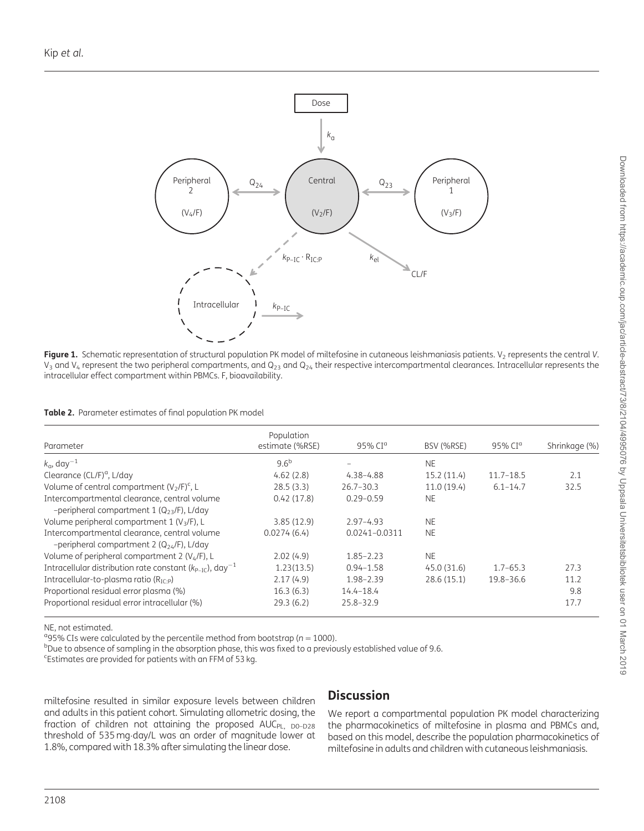<span id="page-4-0"></span>

Figure 1. Schematic representation of structural population PK model of miltefosine in cutaneous leishmaniasis patients. V<sub>2</sub> represents the central V.  $V_3$  and  $V_4$  represent the two peripheral compartments, and  $Q_{23}$  and  $Q_{24}$  their respective intercompartmental clearances. Intracellular represents the intracellular effect compartment within PBMCs. F, bioavailability.

Table 2. Parameter estimates of final population PK model

| Parameter                                                                                       | Population<br>estimate (%RSE) | 95% CI <sup>a</sup> | BSV (%RSE)  | 95% CI <sup>a</sup> | Shrinkage (%) |
|-------------------------------------------------------------------------------------------------|-------------------------------|---------------------|-------------|---------------------|---------------|
| $k_{\alpha}$ , day <sup>-1</sup>                                                                | 9.6 <sup>b</sup>              |                     | <b>NE</b>   |                     |               |
| Clearance (CL/F) <sup>a</sup> , L/day                                                           | 4.62(2.8)                     | 4.38-4.88           | 15.2(11.4)  | $11.7 - 18.5$       | 2.1           |
| Volume of central compartment $(V_2/F)^c$ , L                                                   | 28.5(3.3)                     | $26.7 - 30.3$       | 11.0(19.4)  | $6.1 - 14.7$        | 32.5          |
| Intercompartmental clearance, central volume<br>-peripheral compartment 1 $(Q_{23}/F)$ , L/day  | 0.42(17.8)                    | $0.29 - 0.59$       | <b>NE</b>   |                     |               |
| Volume peripheral compartment $1 (V3/F)$ , L                                                    | 3.85(12.9)                    | $2.97 - 4.93$       | <b>NE</b>   |                     |               |
| Intercompartmental clearance, central volume<br>-peripheral compartment 2 ( $Q_{24}$ /F), L/day | 0.0274(6.4)                   | 0.0241-0.0311       | <b>NE</b>   |                     |               |
| Volume of peripheral compartment 2 (V <sub>4</sub> /F), L                                       | 2.02(4.9)                     | $1.85 - 2.23$       | <b>NE</b>   |                     |               |
| Intracellular distribution rate constant ( $k_{P-IC}$ ), day <sup>-1</sup>                      | 1.23(13.5)                    | $0.94 - 1.58$       | 45.0 (31.6) | $1.7 - 65.3$        | 27.3          |
| Intracellular-to-plasma ratio ( $R_{IC-p}$ )                                                    | 2.17(4.9)                     | 1.98-2.39           | 28.6 (15.1) | 19.8-36.6           | 11.2          |
| Proportional residual error plasma (%)                                                          | 16.3(6.3)                     | $14.4 - 18.4$       |             |                     | 9.8           |
| Proportional residual error intracellular (%)                                                   | 29.3(6.2)                     | 25.8-32.9           |             |                     | 17.7          |

NE, not estimated.

<sup>9</sup>95% CIs were calculated by the percentile method from bootstrap ( $n = 1000$ ).<br><sup>b</sup>Due to absence of sampling in the absorption phase, this was fixed to a previo

<sup>b</sup>Due to absence of sampling in the absorption phase, this was fixed to a previously established value of 9.6.

c Estimates are provided for patients with an FFM of 53 kg.

miltefosine resulted in similar exposure levels between children and adults in this patient cohort. Simulating allometric dosing, the fraction of children not attaining the proposed  $AUC_{PI}$ ,  $D0-D28$ threshold of 535 mg-day/L was an order of magnitude lower at 1.8%, compared with 18.3% after simulating the linear dose.

### **Discussion**

We report a compartmental population PK model characterizing the pharmacokinetics of miltefosine in plasma and PBMCs and, based on this model, describe the population pharmacokinetics of miltefosine in adults and children with cutaneous leishmaniasis.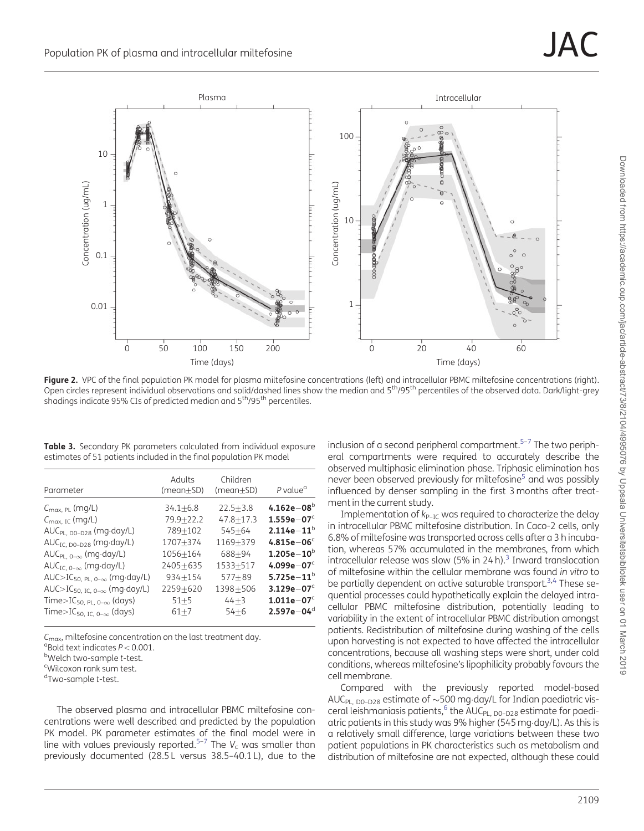<span id="page-5-0"></span>

Figure 2. VPC of the final population PK model for plasma miltefosine concentrations (left) and intracellular PBMC miltefosine concentrations (right). Open circles represent individual observations and solid/dashed lines show the median and 5<sup>th</sup>/95<sup>th</sup> percentiles of the observed data. Dark/light-grey shadings indicate 95% CIs of predicted median and  $5<sup>th</sup>/95<sup>th</sup>$  percentiles.

Table 3. Secondary PK parameters calculated from individual exposure estimates of 51 patients included in the final population PK model

| Parameter                                                  | Adults<br>(mean+SD) | Children<br>$(mean+SD)$ | P value <sup>a</sup> |
|------------------------------------------------------------|---------------------|-------------------------|----------------------|
| $C_{\text{max, PL}}$ (mg/L)                                | $34.1 + 6.8$        | $22.5 + 3.8$            | 4.162e $-08^b$       |
| $C_{\text{max. IC}}$ (mg/L)                                | 79.9+22.2           | $47.8 + 17.3$           | $1.559e - 07c$       |
| $AUC_{PL, DO-D28}$ (mg·day/L)                              | 789+102             | $545 + 64$              | $2.114e-11^{b}$      |
| $AUC_{IC, D0-D28}$ (mg·day/L)                              | 1707+374            | 1169+379                | $4.815e - 06c$       |
| $AUC_{PL, 0-\infty}$ (mg·day/L)                            | 1056+164            | $688 + 94$              | $1.205e - 10^{b}$    |
| AUC <sub>IC, <math>0-\infty</math></sub> (mg·day/L)        | $2405 + 635$        | 1533+517                | 4.099e $-07c$        |
| $AUC > IC_{50, PL, 0-\infty}$ (mg·day/L)                   | $934 + 154$         | $577 + 89$              | 5.725e $-11^{\rm b}$ |
| AUC>IC <sub>50, IC, 0-<math>\infty</math></sub> (mg·day/L) | 2259+620            | 1398+506                | $3.129e - 07c$       |
| Time>IC <sub>50, PL, 0-<math>\infty</math></sub> (days)    | $51 + 5$            | $44 + 3$                | $1.011e - 07c$       |
| Time>IC <sub>50, IC, 0-<math>\infty</math></sub> (days)    | $61 + 7$            | $54 + 6$                | $2.597e - 04d$       |

 $C<sub>max</sub>$ , miltefosine concentration on the last treatment day.

 $\degree$ Bold text indicates  $P < 0.001$ .

 $b$ Welch two-sample  $t$ -test.

Wilcoxon rank sum test.

<sup>d</sup>Two-sample t-test.

The observed plasma and intracellular PBMC miltefosine concentrations were well described and predicted by the population PK model. PK parameter estimates of the final model were in line with values previously reported.<sup>[5](#page-7-0)-[7](#page-7-0)</sup> The  $V_c$  was smaller than previously documented (28.5 L versus 38.5–40.1 L), due to the

inclusion of a second peripheral compartment.<sup>5-7</sup> The two peripheral compartments were required to accurately describe the observed multiphasic elimination phase. Triphasic elimination has never been observed previously for miltefosine<sup>5</sup> and was possibly influenced by denser sampling in the first 3 months after treatment in the current study.

Implementation of  $k_{P-IC}$  was required to characterize the delay in intracellular PBMC miltefosine distribution. In Caco-2 cells, only 6.8% of miltefosine was transported across cells after a 3 h incubation, whereas 57% accumulated in the membranes, from which intracellular release was slow (5% in 24 $h$ ).<sup>[3](#page-7-0)</sup> Inward translocation of miltefosine within the cellular membrane was found in vitro to be partially dependent on active saturable transport.<sup>3,[4](#page-7-0)</sup> These sequential processes could hypothetically explain the delayed intracellular PBMC miltefosine distribution, potentially leading to variability in the extent of intracellular PBMC distribution amongst patients. Redistribution of miltefosine during washing of the cells upon harvesting is not expected to have affected the intracellular concentrations, because all washing steps were short, under cold conditions, whereas miltefosine's lipophilicity probably favours the cell membrane.

Compared with the previously reported model-based AUC $_{\rm PL, \; DO-D28}$  estimate of  ${\sim}500$  mg·day/L for Indian paediatric visceral leishmaniasis patients, $^6$  the AUC<sub>PL, D0-D28</sub> estimate for paediatric patients in this study was 9% higher (545 mg-day/L). As this is a relatively small difference, large variations between these two patient populations in PK characteristics such as metabolism and distribution of miltefosine are not expected, although these could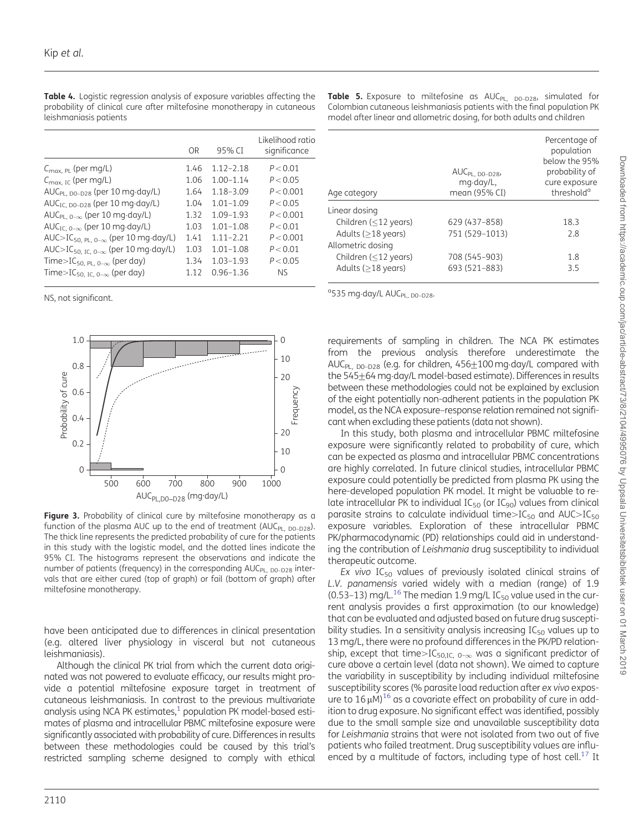| OR   | 95% CI        | Likelihood ratio<br>significance |
|------|---------------|----------------------------------|
| 1.46 | $1.12 - 2.18$ | P < 0.01                         |
| 1.06 | $1.00 - 1.14$ | P < 0.05                         |
| 1.64 | $1.18 - 3.09$ | P < 0.001                        |
| 1.04 | $1.01 - 1.09$ | P < 0.05                         |
| 1.32 | $1.09 - 1.93$ | P < 0.001                        |
| 1.03 | $1.01 - 1.08$ | P < 0.01                         |
| 1.41 | $1.11 - 2.21$ | P < 0.001                        |
| 1.03 | $1.01 - 1.08$ | P < 0.01                         |
| 1.34 | $1.03 - 1.93$ | P < 0.05                         |
| 1.12 | $0.96 - 1.36$ | Nς                               |
|      |               |                                  |

<span id="page-6-0"></span>Table 4. Logistic regression analysis of exposure variables affecting the probability of clinical cure after miltefosine monotherapy in cutaneous leishmaniasis patients

NS, not significant.



Figure 3. Probability of clinical cure by miltefosine monotherapy as a function of the plasma AUC up to the end of treatment (AUC<sub>PL, DO-D28</sub>). The thick line represents the predicted probability of cure for the patients in this study with the logistic model, and the dotted lines indicate the 95% CI. The histograms represent the observations and indicate the number of patients (frequency) in the corresponding AUC<sub>PL, DO-D28</sub> intervals that are either cured (top of graph) or fail (bottom of graph) after miltefosine monotherapy.

have been anticipated due to differences in clinical presentation (e.g. altered liver physiology in visceral but not cutaneous leishmaniasis).

Although the clinical PK trial from which the current data originated was not powered to evaluate efficacy, our results might provide a potential miltefosine exposure target in treatment of cutaneous leishmaniasis. In contrast to the previous multivariate analysis using NCA PK estimates, $<sup>1</sup>$  population PK model-based esti-</sup> mates of plasma and intracellular PBMC miltefosine exposure were significantly associated with probability of cure. Differences in results between these methodologies could be caused by this trial's restricted sampling scheme designed to comply with ethical

Table 5. Exposure to miltefosine as AUC<sub>PL, D0-D28</sub>, simulated for Colombian cutaneous leishmaniasis patients with the final population PK model after linear and allometric dosing, for both adults and children

| Age category                              | $AUC_{PL, DO-D28}$<br>mg-day/L,<br>mean (95% CI) | Percentage of<br>population<br>below the 95%<br>probability of<br>cure exposure<br>threshold <sup>a</sup> |
|-------------------------------------------|--------------------------------------------------|-----------------------------------------------------------------------------------------------------------|
| Linear dosing                             |                                                  |                                                                                                           |
| Children $(<$ 12 years)                   | 629 (437-858)                                    | 18.3                                                                                                      |
| Adults $(>18$ years)<br>Allometric dosing | 751 (529-1013)                                   | 7.8                                                                                                       |
| Children $(<$ 12 years)                   | 708 (545-903)                                    | 1.8                                                                                                       |
| Adults $($ >18 years)                     | 693 (521-883)                                    | 3.5                                                                                                       |

<sup>a</sup>535 mg·day/L AUC<sub>PL, D0-D28</sub>.

requirements of sampling in children. The NCA PK estimates from the previous analysis therefore underestimate the AUC<sub>PL, D0-D28</sub> (e.g. for children, 456<u>+</u>100 mg·day/L compared with the 545 $\pm$ 64 mg·day/L model-based estimate). Differences in results between these methodologies could not be explained by exclusion of the eight potentially non-adherent patients in the population PK model, as the NCA exposure–response relation remained not significant when excluding these patients (data not shown).

In this study, both plasma and intracellular PBMC miltefosine exposure were significantly related to probability of cure, which can be expected as plasma and intracellular PBMC concentrations are highly correlated. In future clinical studies, intracellular PBMC exposure could potentially be predicted from plasma PK using the here-developed population PK model. It might be valuable to relate intracellular PK to individual  $IC_{50}$  (or  $IC_{90}$ ) values from clinical parasite strains to calculate individual time $>$ IC<sub>50</sub> and AUC $>$ IC<sub>50</sub> exposure variables. Exploration of these intracellular PBMC PK/pharmacodynamic (PD) relationships could aid in understanding the contribution of Leishmania drug susceptibility to individual therapeutic outcome.

Ex vivo  $IC_{50}$  values of previously isolated clinical strains of L.V. panamensis varied widely with a median (range) of 1.9 (0.53–13) mg/L.<sup>16</sup> The median 1.9 mg/L IC<sub>50</sub> value used in the current analysis provides a first approximation (to our knowledge) that can be evaluated and adjusted based on future drug susceptibility studies. In a sensitivity analysis increasing  $IC_{50}$  values up to 13 mg/L, there were no profound differences in the PK/PD relationship, except that time>IC<sub>50.IC, 0- $\infty$ </sub> was a significant predictor of cure above a certain level (data not shown). We aimed to capture the variability in susceptibility by including individual miltefosine susceptibility scores (% parasite load reduction after ex vivo exposure to  $16 \mu$ M)<sup>16</sup> as a covariate effect on probability of cure in addition to drug exposure. No significant effect was identified, possibly due to the small sample size and unavailable susceptibility data for Leishmania strains that were not isolated from two out of five patients who failed treatment. Drug susceptibility values are influ-enced by a multitude of factors, including type of host cell.<sup>[17](#page-7-0)</sup> It